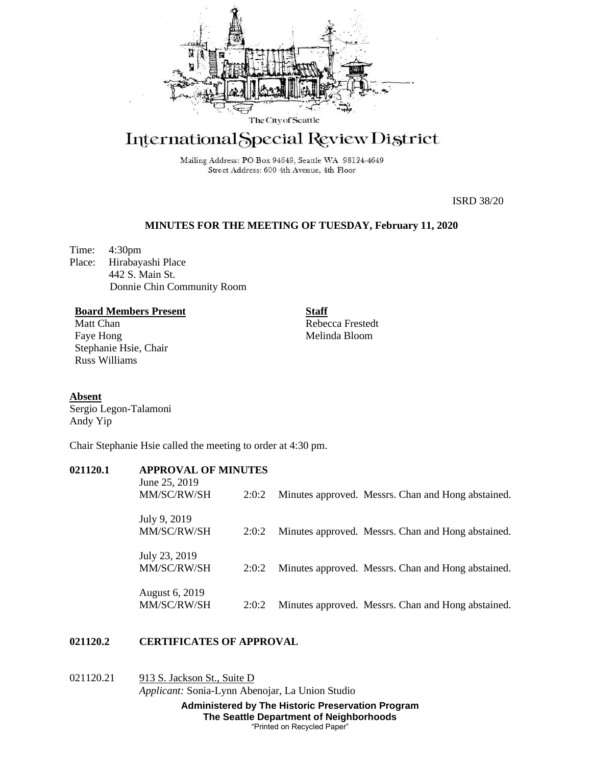

# International Special Review District

Mailing Address: PO Box 94649, Seattle WA 98124-4649 Street Address: 600 4th Avenue, 4th Floor

ISRD 38/20

# **MINUTES FOR THE MEETING OF TUESDAY, February 11, 2020**

Time: 4:30pm Place: Hirabayashi Place 442 S. Main St. Donnie Chin Community Room

#### **Board Members Present**

Matt Chan Faye Hong Stephanie Hsie, Chair Russ Williams

**Staff** Rebecca Frestedt Melinda Bloom

#### **Absent**

Sergio Legon-Talamoni Andy Yip

Chair Stephanie Hsie called the meeting to order at 4:30 pm.

# **021120.1 APPROVAL OF MINUTES**

| June 25, 2019<br>MM/SC/RW/SH  | 2:0:2 | Minutes approved. Messrs. Chan and Hong abstained. |
|-------------------------------|-------|----------------------------------------------------|
| July 9, 2019<br>MM/SC/RW/SH   | 2:0:2 | Minutes approved. Messrs. Chan and Hong abstained. |
| July 23, 2019<br>MM/SC/RW/SH  | 2:0:2 | Minutes approved. Messrs. Chan and Hong abstained. |
| August 6, 2019<br>MM/SC/RW/SH | 2:0:2 | Minutes approved. Messrs. Chan and Hong abstained. |

## **021120.2 CERTIFICATES OF APPROVAL**

# 021120.21 913 S. Jackson St., Suite D *Applicant:* Sonia-Lynn Abenojar, La Union Studio

**Administered by The Historic Preservation Program The Seattle Department of Neighborhoods** "Printed on Recycled Paper"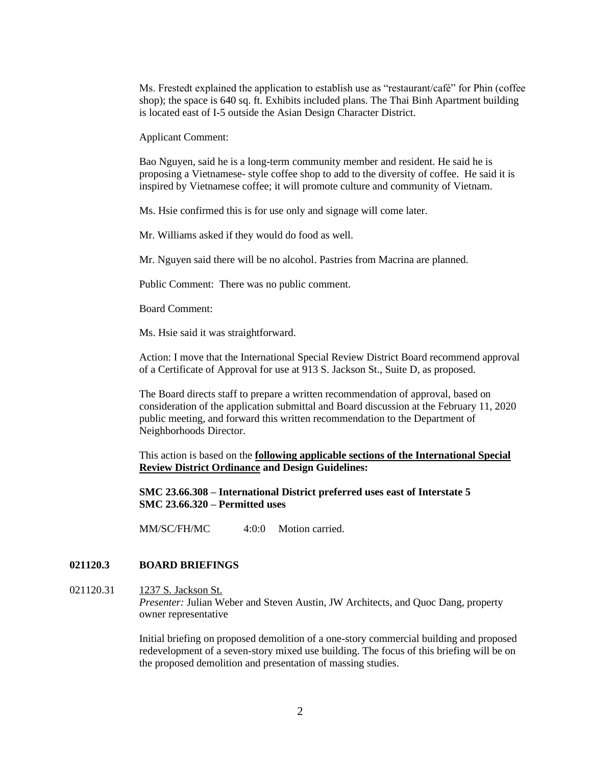Ms. Frestedt explained the application to establish use as "restaurant/café" for Phin (coffee shop); the space is 640 sq. ft. Exhibits included plans. The Thai Binh Apartment building is located east of I-5 outside the Asian Design Character District.

Applicant Comment:

Bao Nguyen, said he is a long-term community member and resident. He said he is proposing a Vietnamese- style coffee shop to add to the diversity of coffee. He said it is inspired by Vietnamese coffee; it will promote culture and community of Vietnam.

Ms. Hsie confirmed this is for use only and signage will come later.

Mr. Williams asked if they would do food as well.

Mr. Nguyen said there will be no alcohol. Pastries from Macrina are planned.

Public Comment: There was no public comment.

Board Comment:

Ms. Hsie said it was straightforward.

Action: I move that the International Special Review District Board recommend approval of a Certificate of Approval for use at 913 S. Jackson St., Suite D, as proposed.

The Board directs staff to prepare a written recommendation of approval, based on consideration of the application submittal and Board discussion at the February 11, 2020 public meeting, and forward this written recommendation to the Department of Neighborhoods Director.

This action is based on the **following applicable sections of the International Special Review District Ordinance and Design Guidelines:** 

**SMC 23.66.308 – International District preferred uses east of Interstate 5 SMC 23.66.320 – Permitted uses**

MM/SC/FH/MC 4:0:0 Motion carried.

## **021120.3 BOARD BRIEFINGS**

# 021120.31 1237 S. Jackson St. *Presenter:* Julian Weber and Steven Austin, JW Architects, and Quoc Dang, property owner representative

Initial briefing on proposed demolition of a one-story commercial building and proposed redevelopment of a seven-story mixed use building. The focus of this briefing will be on the proposed demolition and presentation of massing studies.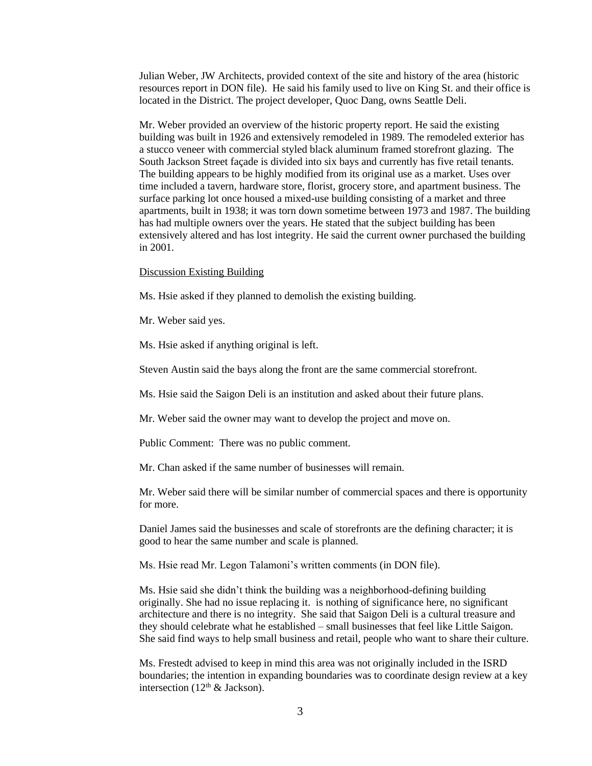Julian Weber, JW Architects, provided context of the site and history of the area (historic resources report in DON file). He said his family used to live on King St. and their office is located in the District. The project developer, Quoc Dang, owns Seattle Deli.

Mr. Weber provided an overview of the historic property report. He said the existing building was built in 1926 and extensively remodeled in 1989. The remodeled exterior has a stucco veneer with commercial styled black aluminum framed storefront glazing. The South Jackson Street façade is divided into six bays and currently has five retail tenants. The building appears to be highly modified from its original use as a market. Uses over time included a tavern, hardware store, florist, grocery store, and apartment business. The surface parking lot once housed a mixed-use building consisting of a market and three apartments, built in 1938; it was torn down sometime between 1973 and 1987. The building has had multiple owners over the years. He stated that the subject building has been extensively altered and has lost integrity. He said the current owner purchased the building in 2001.

#### Discussion Existing Building

Ms. Hsie asked if they planned to demolish the existing building.

Mr. Weber said yes.

Ms. Hsie asked if anything original is left.

Steven Austin said the bays along the front are the same commercial storefront.

Ms. Hsie said the Saigon Deli is an institution and asked about their future plans.

Mr. Weber said the owner may want to develop the project and move on.

Public Comment: There was no public comment.

Mr. Chan asked if the same number of businesses will remain.

Mr. Weber said there will be similar number of commercial spaces and there is opportunity for more.

Daniel James said the businesses and scale of storefronts are the defining character; it is good to hear the same number and scale is planned.

Ms. Hsie read Mr. Legon Talamoni's written comments (in DON file).

Ms. Hsie said she didn't think the building was a neighborhood-defining building originally. She had no issue replacing it. is nothing of significance here, no significant architecture and there is no integrity. She said that Saigon Deli is a cultural treasure and they should celebrate what he established – small businesses that feel like Little Saigon. She said find ways to help small business and retail, people who want to share their culture.

Ms. Frestedt advised to keep in mind this area was not originally included in the ISRD boundaries; the intention in expanding boundaries was to coordinate design review at a key intersection ( $12<sup>th</sup>$  & Jackson).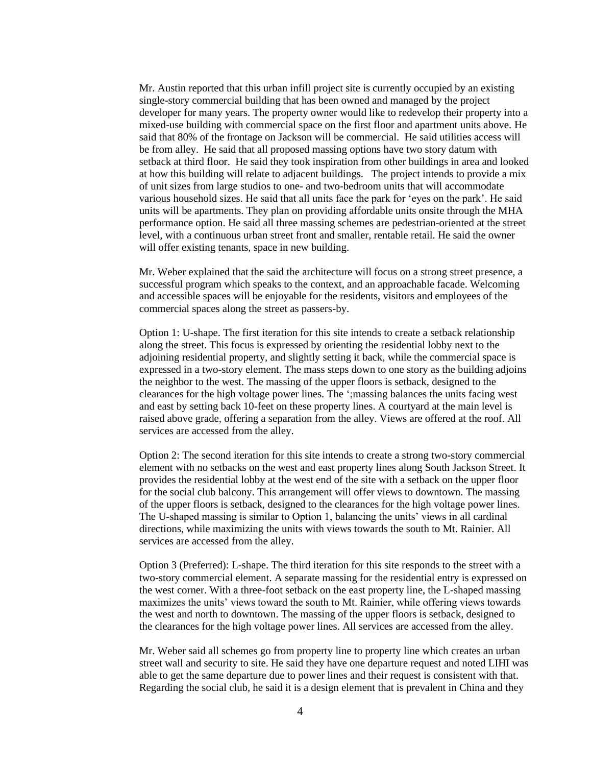Mr. Austin reported that this urban infill project site is currently occupied by an existing single-story commercial building that has been owned and managed by the project developer for many years. The property owner would like to redevelop their property into a mixed-use building with commercial space on the first floor and apartment units above. He said that 80% of the frontage on Jackson will be commercial. He said utilities access will be from alley. He said that all proposed massing options have two story datum with setback at third floor. He said they took inspiration from other buildings in area and looked at how this building will relate to adjacent buildings. The project intends to provide a mix of unit sizes from large studios to one- and two-bedroom units that will accommodate various household sizes. He said that all units face the park for 'eyes on the park'. He said units will be apartments. They plan on providing affordable units onsite through the MHA performance option. He said all three massing schemes are pedestrian-oriented at the street level, with a continuous urban street front and smaller, rentable retail. He said the owner will offer existing tenants, space in new building.

Mr. Weber explained that the said the architecture will focus on a strong street presence, a successful program which speaks to the context, and an approachable facade. Welcoming and accessible spaces will be enjoyable for the residents, visitors and employees of the commercial spaces along the street as passers-by.

Option 1: U-shape. The first iteration for this site intends to create a setback relationship along the street. This focus is expressed by orienting the residential lobby next to the adjoining residential property, and slightly setting it back, while the commercial space is expressed in a two-story element. The mass steps down to one story as the building adjoins the neighbor to the west. The massing of the upper floors is setback, designed to the clearances for the high voltage power lines. The ';massing balances the units facing west and east by setting back 10-feet on these property lines. A courtyard at the main level is raised above grade, offering a separation from the alley. Views are offered at the roof. All services are accessed from the alley.

Option 2: The second iteration for this site intends to create a strong two-story commercial element with no setbacks on the west and east property lines along South Jackson Street. It provides the residential lobby at the west end of the site with a setback on the upper floor for the social club balcony. This arrangement will offer views to downtown. The massing of the upper floors is setback, designed to the clearances for the high voltage power lines. The U-shaped massing is similar to Option 1, balancing the units' views in all cardinal directions, while maximizing the units with views towards the south to Mt. Rainier. All services are accessed from the alley.

Option 3 (Preferred): L-shape. The third iteration for this site responds to the street with a two-story commercial element. A separate massing for the residential entry is expressed on the west corner. With a three-foot setback on the east property line, the L-shaped massing maximizes the units' views toward the south to Mt. Rainier, while offering views towards the west and north to downtown. The massing of the upper floors is setback, designed to the clearances for the high voltage power lines. All services are accessed from the alley.

Mr. Weber said all schemes go from property line to property line which creates an urban street wall and security to site. He said they have one departure request and noted LIHI was able to get the same departure due to power lines and their request is consistent with that. Regarding the social club, he said it is a design element that is prevalent in China and they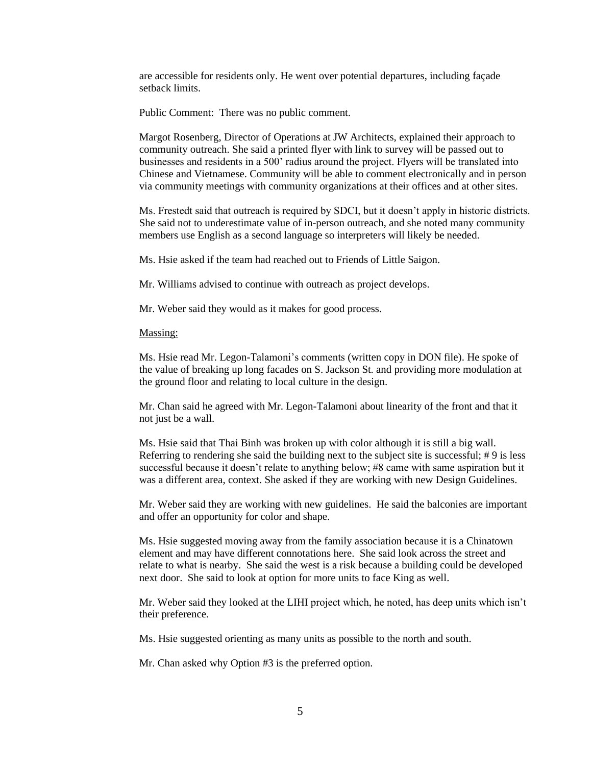are accessible for residents only. He went over potential departures, including façade setback limits.

Public Comment: There was no public comment.

Margot Rosenberg, Director of Operations at JW Architects, explained their approach to community outreach. She said a printed flyer with link to survey will be passed out to businesses and residents in a 500' radius around the project. Flyers will be translated into Chinese and Vietnamese. Community will be able to comment electronically and in person via community meetings with community organizations at their offices and at other sites.

Ms. Frestedt said that outreach is required by SDCI, but it doesn't apply in historic districts. She said not to underestimate value of in-person outreach, and she noted many community members use English as a second language so interpreters will likely be needed.

Ms. Hsie asked if the team had reached out to Friends of Little Saigon.

Mr. Williams advised to continue with outreach as project develops.

Mr. Weber said they would as it makes for good process.

#### Massing:

Ms. Hsie read Mr. Legon-Talamoni's comments (written copy in DON file). He spoke of the value of breaking up long facades on S. Jackson St. and providing more modulation at the ground floor and relating to local culture in the design.

Mr. Chan said he agreed with Mr. Legon-Talamoni about linearity of the front and that it not just be a wall.

Ms. Hsie said that Thai Binh was broken up with color although it is still a big wall. Referring to rendering she said the building next to the subject site is successful; # 9 is less successful because it doesn't relate to anything below; #8 came with same aspiration but it was a different area, context. She asked if they are working with new Design Guidelines.

Mr. Weber said they are working with new guidelines. He said the balconies are important and offer an opportunity for color and shape.

Ms. Hsie suggested moving away from the family association because it is a Chinatown element and may have different connotations here. She said look across the street and relate to what is nearby. She said the west is a risk because a building could be developed next door. She said to look at option for more units to face King as well.

Mr. Weber said they looked at the LIHI project which, he noted, has deep units which isn't their preference.

Ms. Hsie suggested orienting as many units as possible to the north and south.

Mr. Chan asked why Option #3 is the preferred option.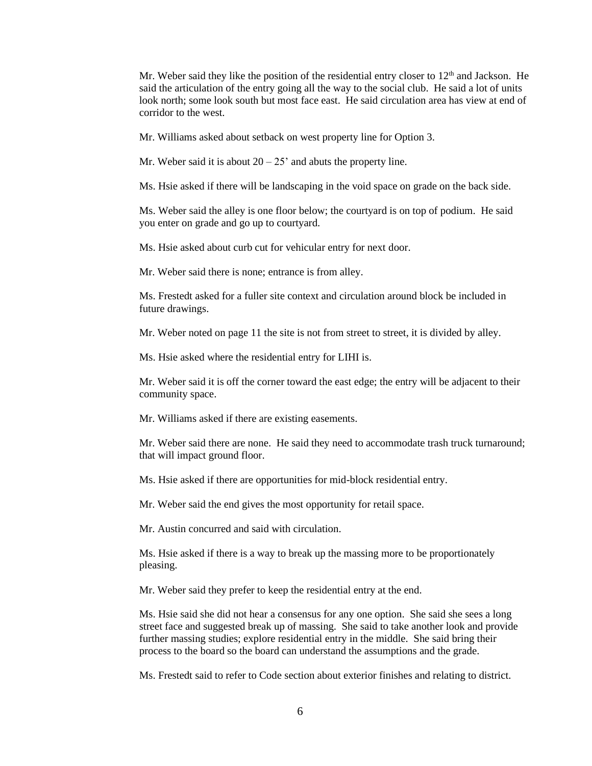Mr. Weber said they like the position of the residential entry closer to  $12<sup>th</sup>$  and Jackson. He said the articulation of the entry going all the way to the social club. He said a lot of units look north; some look south but most face east. He said circulation area has view at end of corridor to the west.

Mr. Williams asked about setback on west property line for Option 3.

Mr. Weber said it is about  $20 - 25'$  and abuts the property line.

Ms. Hsie asked if there will be landscaping in the void space on grade on the back side.

Ms. Weber said the alley is one floor below; the courtyard is on top of podium. He said you enter on grade and go up to courtyard.

Ms. Hsie asked about curb cut for vehicular entry for next door.

Mr. Weber said there is none; entrance is from alley.

Ms. Frestedt asked for a fuller site context and circulation around block be included in future drawings.

Mr. Weber noted on page 11 the site is not from street to street, it is divided by alley.

Ms. Hsie asked where the residential entry for LIHI is.

Mr. Weber said it is off the corner toward the east edge; the entry will be adjacent to their community space.

Mr. Williams asked if there are existing easements.

Mr. Weber said there are none. He said they need to accommodate trash truck turnaround; that will impact ground floor.

Ms. Hsie asked if there are opportunities for mid-block residential entry.

Mr. Weber said the end gives the most opportunity for retail space.

Mr. Austin concurred and said with circulation.

Ms. Hsie asked if there is a way to break up the massing more to be proportionately pleasing.

Mr. Weber said they prefer to keep the residential entry at the end.

Ms. Hsie said she did not hear a consensus for any one option. She said she sees a long street face and suggested break up of massing. She said to take another look and provide further massing studies; explore residential entry in the middle. She said bring their process to the board so the board can understand the assumptions and the grade.

Ms. Frestedt said to refer to Code section about exterior finishes and relating to district.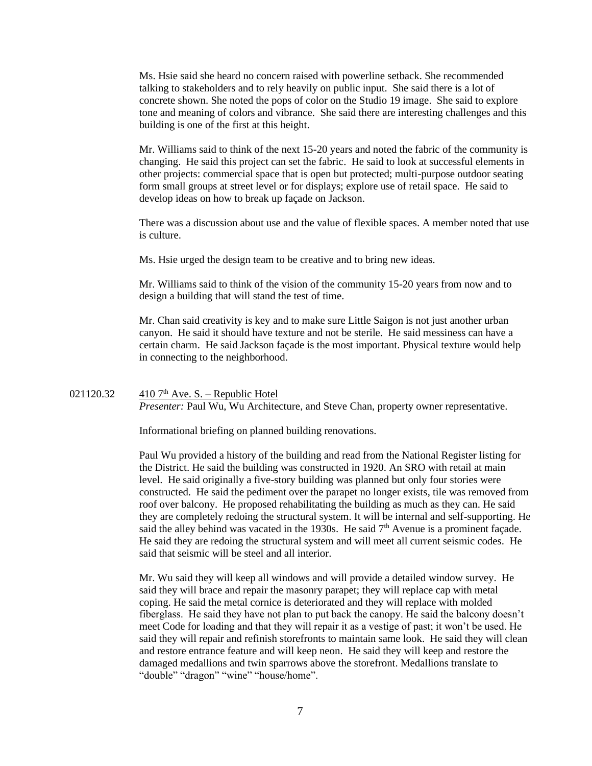Ms. Hsie said she heard no concern raised with powerline setback. She recommended talking to stakeholders and to rely heavily on public input. She said there is a lot of concrete shown. She noted the pops of color on the Studio 19 image. She said to explore tone and meaning of colors and vibrance. She said there are interesting challenges and this building is one of the first at this height.

Mr. Williams said to think of the next 15-20 years and noted the fabric of the community is changing. He said this project can set the fabric. He said to look at successful elements in other projects: commercial space that is open but protected; multi-purpose outdoor seating form small groups at street level or for displays; explore use of retail space. He said to develop ideas on how to break up façade on Jackson.

There was a discussion about use and the value of flexible spaces. A member noted that use is culture.

Ms. Hsie urged the design team to be creative and to bring new ideas.

Mr. Williams said to think of the vision of the community 15-20 years from now and to design a building that will stand the test of time.

Mr. Chan said creativity is key and to make sure Little Saigon is not just another urban canyon. He said it should have texture and not be sterile. He said messiness can have a certain charm. He said Jackson façade is the most important. Physical texture would help in connecting to the neighborhood.

## 021120.32  $410$  7<sup>th</sup> Ave. S. – Republic Hotel *Presenter:* Paul Wu, Wu Architecture, and Steve Chan, property owner representative.

Informational briefing on planned building renovations.

Paul Wu provided a history of the building and read from the National Register listing for the District. He said the building was constructed in 1920. An SRO with retail at main level. He said originally a five-story building was planned but only four stories were constructed. He said the pediment over the parapet no longer exists, tile was removed from roof over balcony. He proposed rehabilitating the building as much as they can. He said they are completely redoing the structural system. It will be internal and self-supporting. He said the alley behind was vacated in the 1930s. He said  $7<sup>th</sup>$  Avenue is a prominent facade. He said they are redoing the structural system and will meet all current seismic codes. He said that seismic will be steel and all interior.

Mr. Wu said they will keep all windows and will provide a detailed window survey. He said they will brace and repair the masonry parapet; they will replace cap with metal coping. He said the metal cornice is deteriorated and they will replace with molded fiberglass. He said they have not plan to put back the canopy. He said the balcony doesn't meet Code for loading and that they will repair it as a vestige of past; it won't be used. He said they will repair and refinish storefronts to maintain same look. He said they will clean and restore entrance feature and will keep neon. He said they will keep and restore the damaged medallions and twin sparrows above the storefront. Medallions translate to "double" "dragon" "wine" "house/home".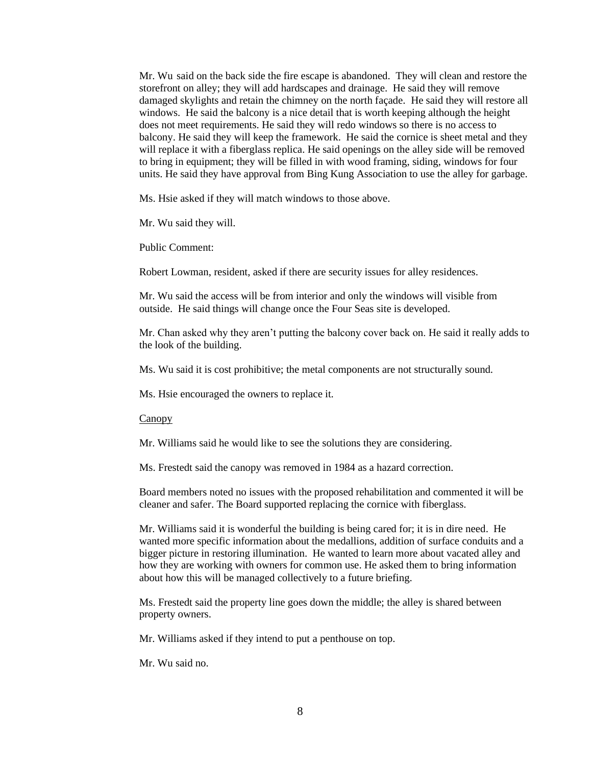Mr. Wu said on the back side the fire escape is abandoned. They will clean and restore the storefront on alley; they will add hardscapes and drainage. He said they will remove damaged skylights and retain the chimney on the north façade. He said they will restore all windows. He said the balcony is a nice detail that is worth keeping although the height does not meet requirements. He said they will redo windows so there is no access to balcony. He said they will keep the framework. He said the cornice is sheet metal and they will replace it with a fiberglass replica. He said openings on the alley side will be removed to bring in equipment; they will be filled in with wood framing, siding, windows for four units. He said they have approval from Bing Kung Association to use the alley for garbage.

Ms. Hsie asked if they will match windows to those above.

Mr. Wu said they will.

Public Comment:

Robert Lowman, resident, asked if there are security issues for alley residences.

Mr. Wu said the access will be from interior and only the windows will visible from outside. He said things will change once the Four Seas site is developed.

Mr. Chan asked why they aren't putting the balcony cover back on. He said it really adds to the look of the building.

Ms. Wu said it is cost prohibitive; the metal components are not structurally sound.

Ms. Hsie encouraged the owners to replace it.

Canopy

Mr. Williams said he would like to see the solutions they are considering.

Ms. Frestedt said the canopy was removed in 1984 as a hazard correction.

Board members noted no issues with the proposed rehabilitation and commented it will be cleaner and safer. The Board supported replacing the cornice with fiberglass.

Mr. Williams said it is wonderful the building is being cared for; it is in dire need. He wanted more specific information about the medallions, addition of surface conduits and a bigger picture in restoring illumination. He wanted to learn more about vacated alley and how they are working with owners for common use. He asked them to bring information about how this will be managed collectively to a future briefing.

Ms. Frestedt said the property line goes down the middle; the alley is shared between property owners.

Mr. Williams asked if they intend to put a penthouse on top.

Mr. Wu said no.